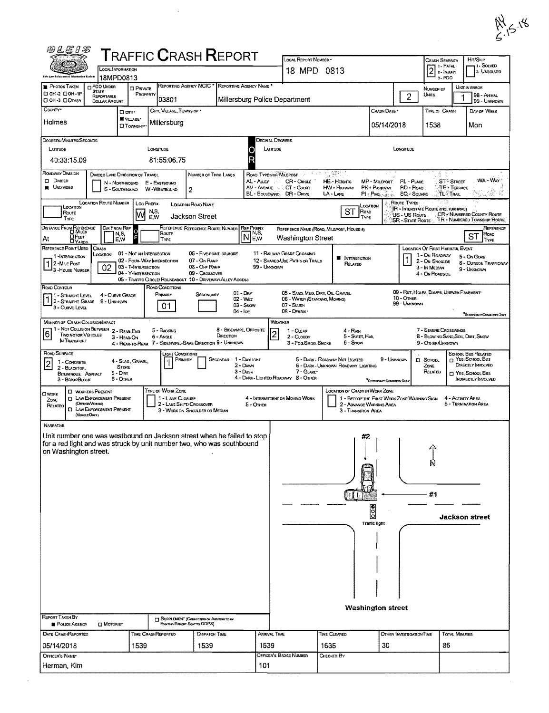| い | $\leftarrow$<br>r. |
|---|--------------------|
|   |                    |

|                                                                              | LOCAL INFORMATION                                                                                                                               |                                                                        |                                                                    | <b>TRAFFIC CRASH REPORT</b>                                                       |                                                                                              |                                   | LOCAL REPORT NUMBER .<br>18 MPD 0813                                                               |                                                                       |                                                                         |                                                                                                 | Crash Severity<br>$2$ : FATAL                                                                                  |                                                              | Hrt/Skip<br>i 1 - Solved<br>2. UNSOLVED |
|------------------------------------------------------------------------------|-------------------------------------------------------------------------------------------------------------------------------------------------|------------------------------------------------------------------------|--------------------------------------------------------------------|-----------------------------------------------------------------------------------|----------------------------------------------------------------------------------------------|-----------------------------------|----------------------------------------------------------------------------------------------------|-----------------------------------------------------------------------|-------------------------------------------------------------------------|-------------------------------------------------------------------------------------------------|----------------------------------------------------------------------------------------------------------------|--------------------------------------------------------------|-----------------------------------------|
| this gaw inferences lefermation Spatzu                                       | 18MPD0813                                                                                                                                       |                                                                        |                                                                    |                                                                                   |                                                                                              |                                   |                                                                                                    |                                                                       |                                                                         |                                                                                                 | $3 - PDO$                                                                                                      |                                                              |                                         |
| PHOTOS TAKEN<br>CI OH-2 CIOH-1P                                              | <b>D</b> PDO UNDER<br><b>STATE</b><br><b>REPORTABLE</b>                                                                                         | <b>D</b> PRIVATE<br>PROPERTY                                           | 03801                                                              | REPORTING AGENCY NCIC * REPORTING AGENCY NAME *                                   | Millersburg Police Department                                                                |                                   |                                                                                                    |                                                                       |                                                                         | $\overline{c}$                                                                                  | NUMBER OF<br>UNITS                                                                                             | UNIT IN ERROR                                                | 98 - ANMAL                              |
| <b>DOH-3 DOTHER</b><br>COUNTY*                                               | DOLLAR AMOUNT                                                                                                                                   | O any ·                                                                | City, Village, Townsier .                                          |                                                                                   |                                                                                              |                                   |                                                                                                    |                                                                       | CRASH DATE *                                                            |                                                                                                 | TIME OF CRASH                                                                                                  |                                                              | 99 - UNKNOWN<br>DAY OF WEEK             |
| Holmes                                                                       |                                                                                                                                                 | VILLAGE*<br><b>O</b> TOWNSHIP                                          | Millersburg                                                        |                                                                                   |                                                                                              |                                   |                                                                                                    |                                                                       | 05/14/2018                                                              |                                                                                                 | 1538                                                                                                           | Mon                                                          |                                         |
| DEGREES/MINUTES/SECONDS<br>LATTUDE                                           |                                                                                                                                                 |                                                                        | LONGITUDE                                                          |                                                                                   |                                                                                              | <b>DECIMAL DEGREES</b><br>LATTUDE |                                                                                                    |                                                                       |                                                                         | LONGITUDE                                                                                       |                                                                                                                |                                                              |                                         |
| 40:33:15.09<br><b>ROADWAY DIVISION</b>                                       |                                                                                                                                                 |                                                                        | 81:55:06.75                                                        |                                                                                   |                                                                                              |                                   |                                                                                                    |                                                                       |                                                                         |                                                                                                 |                                                                                                                |                                                              |                                         |
| $\Box$ Divided<br><b>UNDIVIDED</b>                                           | DIVIDED LANE DIRECTION OF TRAVEL<br>N - NORTHBOUND<br>S - SOUTHBOUND                                                                            |                                                                        | E - EASTBOUND<br>W-WESTBOUND                                       | NUMBER OF THRU LANES<br>$\overline{2}$                                            |                                                                                              | AL - ALLEY<br>A.                  | ROAD TYPES OR MILEPOST<br>医生态<br>CR-CROLE<br>AV - AVENUE . CT - COURT<br>BL - BOULEVARD DR - DRIVE | - 11, 93만<br>HE-Hagars<br>HW - Highway<br>LA - LANE                   | MP - MILEPOST<br>PK - PARKWAY<br>$PI = PWE_{\text{trunc}}$              | PL-Puce<br>RD - Road<br><b>SQ - SOUARE</b>                                                      |                                                                                                                | <b>ST<sup>2</sup></b> STREET<br>TE - TERRACE<br>TL-TRAIL     | WA - Way<br>έh<br>ing Alb               |
| LOCATION<br>Route<br>TYPE                                                    | <b>LOCATION ROUTE NUMBER</b>                                                                                                                    | <b>LOC PREFIX</b><br>M                                                 | N,S,<br>E,W                                                        | <b>LOCATION ROAD NAME</b><br>Jackson Street                                       |                                                                                              |                                   |                                                                                                    | <b>ST</b>                                                             | Location<br>ROAD<br>TYPE                                                | Route Types<br>IR - INTERSTATE ROUTE (INC. TURNAKE)<br>US - US ROUTE<br><b>SR - STATE ROUTE</b> |                                                                                                                | CR - NUMBERED COUNTY ROUTE<br>TR - NUMBERED TOWNSHIP ROUTE   |                                         |
| <b>DISTANCE FROM REFERENCE</b><br><b>DFEET</b><br>At<br><b>DYARDS</b>        | <b>DIR FROM REF</b><br>N,S,<br>E,W                                                                                                              | F                                                                      | Route<br>TYPE                                                      | REFERENCE REFERENCE ROUTE NUMBER                                                  | <b>REF PREFIX</b><br>$\mathsf{\overline{N}}_{\mathsf{E},\mathsf{W}}^{\mathsf{N},\mathsf{S}}$ |                                   | <b>Washington Street</b>                                                                           | REFERENCE NAME (ROAD, MILEPOST, HOUSE #)                              |                                                                         |                                                                                                 |                                                                                                                | ST                                                           | REFERENCE<br>Road<br>TYPE               |
| REFERENCE POINT USED<br>1-INTERSECTION<br>1 2 - Mile Post<br>3-HOUSE NUMBER  | Crash<br>LOCATION<br>02                                                                                                                         | 01 - Not an Intersection<br>03 - T-INTERSECTION<br>04 - Y-INTERSECTION | 02 - FOUR-WAY INTERSECTION                                         | 06 ~ FIVE-POINT, OR MORE<br>07 - On Roup<br>08 - OFF RAMP<br>09 - CROSSOVER       |                                                                                              | 99 - Unknown                      | 11 - RAILWAY GRADE CROSSING<br>12 - SHARED-USE PATHS OR TRAILS                                     | <b>NTERSECTION</b><br>RELATED                                         |                                                                         | 1                                                                                               | <b>LOCATION OF FIRST HARMFUL EVENT</b><br>1 - On ROADWAY<br>2 - On Shoulde<br>3 - In Median<br>4 - ON ROADSIDE | 5 - On Gone<br>9 - UNKNOWN                                   | <b>6 - OUTSIDE TRAFFICWAY</b>           |
| ROAD CONTOUR<br>11 - Straight Level                                          | 4 - CURVE GRADE<br>1 2 - STRAIGHT GRADE 9 - UNKNOWN                                                                                             |                                                                        | ROAD CONDITIONS<br>PRIMARY                                         | 05 - TRAFFIC CIRCLE/ ROUNDABOUT 10 - DRIVEWAY/ ALLEY ACCESS<br>SECONDARY          | $01 - \text{Day}$<br>02 - WET                                                                |                                   | 05 - SAND, MUD, DIRT, OIL, GRAVEL<br>06 - WATER (STANDING, MOVING)                                 |                                                                       |                                                                         | 09 - Rut, HOLES, BUMPS, UNEVEN PAVEMENT*<br>10 - OTHER<br>99 - Unknown                          |                                                                                                                |                                                              |                                         |
| 3 - CURVE LEVEL                                                              |                                                                                                                                                 |                                                                        | 01                                                                 |                                                                                   | 03 - Swow<br>$04 - 1$ ce                                                                     |                                   | 07 - SLUSH<br>08 - Deants                                                                          |                                                                       |                                                                         |                                                                                                 |                                                                                                                |                                                              | <b>SECONDARY CONDITION CHUY</b>         |
| MANNER OF CRASH COLLISION/INPACT<br> 6<br>TWO MOTOR VEHICLES<br>IN TRANSPORT | 11 - Not Collision Between 2 - Rear-End                                                                                                         | 3 - HEAD-ON                                                            | 5 - BACKING<br>6 - Angle                                           | 4 - REAR-TO-REAR 7 - SIDESWIPE, SAME DIRECTION 9 - UNKNOWN                        | <b>8 - SIDESWIPE, OPPOSITE</b><br>DIRECTION                                                  | WEATHER                           | 1 - CLEAR<br>2 - CLOUDY<br>3 - Fog, Smog, Smoke                                                    | 4 - RAIN<br>5 - SLEET, HAIL<br>6 - Sivow                              |                                                                         |                                                                                                 | 7 - SEVERE CROSSWINDS<br>8 - BLOWING SAND, SOIL, DIRT, SNOW<br>9 - OTHERAUNKNOWN                               |                                                              |                                         |
| ROAD SURFACE                                                                 |                                                                                                                                                 |                                                                        | LIGHT CONDITIONS                                                   |                                                                                   |                                                                                              |                                   |                                                                                                    |                                                                       |                                                                         |                                                                                                 |                                                                                                                |                                                              |                                         |
| 1 - CONCRETE<br> 2 <br>2 - BLACKTOP.                                         |                                                                                                                                                 | 4 - SLAG, GRAVEL<br><b>STONE</b>                                       | PRIMARY                                                            |                                                                                   | SECONDAR 1 - DAYLIGHT<br>2 - DAWN                                                            |                                   |                                                                                                    | 5 - DARK - ROADWAY NOT LIGHTED<br>6 - DARK - UNKNOWN ROADWAY LIGHTING | 9 - UNKNOWN                                                             |                                                                                                 | <b>D</b> SCHOOL<br>ZONE                                                                                        | SCHOOL BUS RELATED<br>T YES, SCHOOL BUS<br>DIRECTLY INVOLVED |                                         |
| BITUMINOUS, ASPHALT<br>3 - BRICK/BLOCK                                       | $5 - D$<br>$6 -$ OTHER                                                                                                                          |                                                                        |                                                                    |                                                                                   | 3 - Dusk                                                                                     |                                   | 7 - GLARE*<br>4 - DARK - LIGHTED ROADWAY 8 - OTHER                                                 |                                                                       | <sup>*</sup> SECONDARY CONDITION ONLY                                   |                                                                                                 | RELATED                                                                                                        | YES, SCHOOL BUS                                              | INDIRECTLY INVOLVED                     |
| <b>OWDRK</b><br>ZONE<br>RELATED                                              | <b>CI WORKERS PRESENT</b><br><b>CI LAW ENFORCEMENT PRESENT</b><br>(OFFICENVENISE)<br><b>CI LAW ENFORCEMENT PRESENT</b><br>(VercusONX)           |                                                                        | TYPE OF WORK ZONE<br>1 - LAKE CLOSURE<br>2 - LANE SHIFT! CROSSOVER | 3 - WORK ON SHOULDER OR MEDIAN                                                    | $5 -$ OTHER                                                                                  |                                   | 4 - INTERMITTENT OR MOVING WORK                                                                    | <b>LOCATION OF CRASH IN WORK ZONE</b><br>3 - Transition Area          | 1 - BEFORE THE FIRST WORK ZONE WARNING SIGN<br>2 - ADVANCE WARNING AREA |                                                                                                 |                                                                                                                | 4 - ACTIVITY AREA<br>5 - TERMINATION AREA                    |                                         |
| <b>NARRATIVE</b><br>on Washington street.                                    | Unit number one was westbound on Jackson street when he failed to stop<br>for a red light and was struck by unit number two, who was southbound |                                                                        |                                                                    |                                                                                   |                                                                                              |                                   |                                                                                                    |                                                                       | #2                                                                      |                                                                                                 | N                                                                                                              |                                                              |                                         |
|                                                                              |                                                                                                                                                 |                                                                        |                                                                    |                                                                                   |                                                                                              |                                   |                                                                                                    |                                                                       |                                                                         |                                                                                                 | #1                                                                                                             |                                                              |                                         |
|                                                                              |                                                                                                                                                 |                                                                        |                                                                    |                                                                                   |                                                                                              |                                   |                                                                                                    |                                                                       | $\overline{000}$<br>Traffic light                                       |                                                                                                 |                                                                                                                | <b>Jackson street</b>                                        |                                         |
|                                                                              |                                                                                                                                                 |                                                                        |                                                                    |                                                                                   |                                                                                              |                                   |                                                                                                    |                                                                       |                                                                         |                                                                                                 |                                                                                                                |                                                              |                                         |
| <b>REPORT TAKEN BY</b>                                                       |                                                                                                                                                 |                                                                        |                                                                    |                                                                                   |                                                                                              |                                   |                                                                                                    |                                                                       | <b>Washington street</b>                                                |                                                                                                 |                                                                                                                |                                                              |                                         |
| POLICE AGENCY                                                                | $\square$ Motorist                                                                                                                              |                                                                        |                                                                    | <b>J SUPPLEMENT (CORRECTION OF ADDITION TO AM</b><br>Existing Report Spatto ODPS) |                                                                                              |                                   |                                                                                                    |                                                                       |                                                                         |                                                                                                 |                                                                                                                |                                                              |                                         |
| DATE CRASHREPORTED<br>05/14/2018                                             |                                                                                                                                                 | 1539                                                                   | TIME CRASHREPORTED                                                 | <b>Dispatch TIME</b><br>1539                                                      |                                                                                              | ARRIVAL TIME<br>1539              |                                                                                                    | TIME CLEARED<br>1635                                                  | 30                                                                      | OTHER INVESTIGATION TIME                                                                        | 86                                                                                                             | <b>TOTAL MINUTES</b>                                         |                                         |

 $\sim 10^{-1}$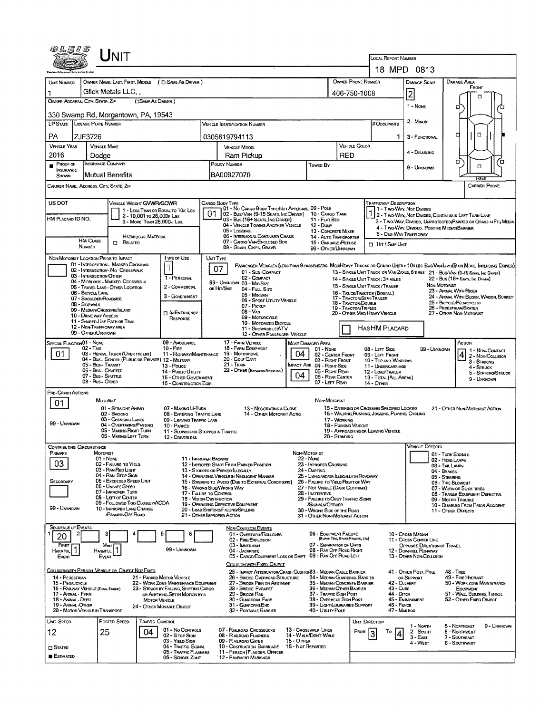| Unit                                                                                                                                                                                             |                                                                                                                                              |                                                                                     |                                                                               |                                                        |                                                                                                                      |  |  |
|--------------------------------------------------------------------------------------------------------------------------------------------------------------------------------------------------|----------------------------------------------------------------------------------------------------------------------------------------------|-------------------------------------------------------------------------------------|-------------------------------------------------------------------------------|--------------------------------------------------------|----------------------------------------------------------------------------------------------------------------------|--|--|
|                                                                                                                                                                                                  |                                                                                                                                              |                                                                                     | <b>LOCAL REPORT NUMBER</b>                                                    | 18 MPD 0813                                            |                                                                                                                      |  |  |
| OWNER NAME: LAST, FIRST, MIDDLE ( C SAME AS DRIVER )<br>UNT NUMBER                                                                                                                               |                                                                                                                                              |                                                                                     | DAMAGE SCALE                                                                  | DAMAGE AREA                                            |                                                                                                                      |  |  |
| Glick Metals LLC,<br>1                                                                                                                                                                           |                                                                                                                                              | OWNER PHONE NUMBER<br>406-750-1008                                                  |                                                                               |                                                        | FRONT                                                                                                                |  |  |
| OWNER ADDRESS: CITY, STATE, ZIP<br><b>CISAME AS DRIVER</b> )                                                                                                                                     |                                                                                                                                              |                                                                                     |                                                                               | 2<br>$1 - \text{None}$                                 | п                                                                                                                    |  |  |
| 330 Swamp Rd, Morgantown, PA, 19543                                                                                                                                                              |                                                                                                                                              |                                                                                     |                                                                               |                                                        | о                                                                                                                    |  |  |
| <b>LP STATE LICENSE PLATE NUMBER</b>                                                                                                                                                             | <b>VERICLE IDENTIFICATION NUMBER</b>                                                                                                         |                                                                                     | # Occupants                                                                   | 2 - MINOR                                              |                                                                                                                      |  |  |
| PA<br>ZJF3726                                                                                                                                                                                    | 0305619794113                                                                                                                                |                                                                                     | 1.                                                                            | 3 - FUNCTIONAL                                         | о<br>o                                                                                                               |  |  |
| <b>VEHICLE YEAR</b><br><b>VEHICLE MAKE</b><br>2016<br>Dodge                                                                                                                                      | <b>VEHICLE MODEL</b><br>Ram Pickup                                                                                                           | <b>VEHICLE COLOR</b><br>RED                                                         |                                                                               | 4 - DISABLING                                          |                                                                                                                      |  |  |
| <b>INSURANCE COMPANY</b><br>$P$ ROOF OF                                                                                                                                                          | POLICY NUMBER<br>Towen By                                                                                                                    |                                                                                     |                                                                               | 9 - Univiown                                           | O<br>Έ<br>α                                                                                                          |  |  |
| <b>INSURANCE</b><br>lMutual Benefits<br><b>SHOWN</b>                                                                                                                                             | BA00927070                                                                                                                                   |                                                                                     |                                                                               |                                                        | <b>FCEAS</b>                                                                                                         |  |  |
| CARRIER NAME, ADDRESS, CITY, STATE, ZIP                                                                                                                                                          |                                                                                                                                              |                                                                                     |                                                                               |                                                        | <b>CARRIER PHONE</b>                                                                                                 |  |  |
| US DOT<br>VEHICLE WEIGHT GVWR/GCWR                                                                                                                                                               | CARGO BODY TYPE                                                                                                                              |                                                                                     | <b>TRAFFICWAY DESCRIPTION</b>                                                 |                                                        |                                                                                                                      |  |  |
| 1 - LESS THAN OR EQUAL TO 10K LBS<br>2 - 10,001 to 26,000x Las<br>HM PLACARD ID NO.                                                                                                              | 01 - No CARGO BOOY TYPE/NOT APPLICABL 09 - POLE<br>02 - Bus/Van (9-15 Seats, Inc Driver) 10 - Cargo Tank<br>03 - Bus (16+ Seats, Inc Driver) | 11 - FLAT BED                                                                       | 1 - Two Way, Not Dimord                                                       |                                                        | 1 2 - T WO-WAY, NOT DIMDED, CONTINUOUS LEFT TURN LANE                                                                |  |  |
| 3 - MORE THAN 26,000K LBS.                                                                                                                                                                       | 04 - VEHICLE TOWING ANOTHER VEHICLE<br>12 - Dump<br>05 - Logging                                                                             | 13 - CONCRETE MIXER                                                                 |                                                                               | 4 - Two-Way, Divided, Positive Median Barrier          | 3 - Two-WAY, DIMDED, UNPROTECTED (PAINTED OR GRASS >4FT.) MEDIA                                                      |  |  |
| HAZARDOUS MATERIAL<br>HM CLASS<br><b>CT</b> RELATED                                                                                                                                              | 06 - INTERMODAL CONTAINER CHASIS<br>07 - CARGO VANENCLOSED BOX                                                                               | 14 - AUTO TRANSPORTER<br>15 - GARBAGE / REFUSE                                      | 5 - ONE-WAY TRAFFICWAY                                                        |                                                        |                                                                                                                      |  |  |
| NUMBER                                                                                                                                                                                           | 08 - GRAIN, CHIPS, GRAVEL                                                                                                                    | 99 - OTHER/UNKNOWN                                                                  | <b>D</b> HIT / SKIP UNIT                                                      |                                                        |                                                                                                                      |  |  |
| TYPE OF USE<br>NON-MOTORIST LOCATION PRIOR TO IMPACT<br>01 - INTERSECTION - MARKED CROSSWAL                                                                                                      | UNT TYPE<br>PASSENGER VEHICLES (LESS THAN 9 PASSENGERS MEDIHEAVY TRUCKS OR COMBO UNTS > 10K LBS BUS/VAN/LIMO(9 OR MORE INCLUDING DRIVER)     |                                                                                     |                                                                               |                                                        |                                                                                                                      |  |  |
| 02 - INTERSECTION - NO CROSSWALK<br>03 - INTERSECTION OTHER<br>1 - PERSONAL                                                                                                                      | 07<br>01 - Sub-COMPACT<br>02 - COMPACT                                                                                                       | 14 - SINGLE UNIT TRUCK: 3+ AXLES                                                    |                                                                               |                                                        | 13 - SINGLE UNIT TRUCK OR VAN 2AXLE, 6 TIRES 21 - BUS/VAN (9-15 SEATS, INC DRAGR)<br>22 - Bus (16+ Seate Inc Driver) |  |  |
| 04 - MIDBLOCK - MARKED CROSSWALK<br>2 - COMMERCIAL<br>05 - TRAVEL LANE - OTHER LOCATION                                                                                                          | 99 - UNKNOWN 03 - MID SIZE<br>OR HIT/SKIP<br>04 - Full Size                                                                                  | 15 - SINGLE UNIT TRUCK/TRAILER                                                      |                                                                               |                                                        | Non-Motorist<br>23 - Animal With Rider                                                                               |  |  |
| 06 - BICYCLE LANE<br>3 - GOVERNMENT<br>07 - Shoulder/Roadside                                                                                                                                    | 05 - Minivan<br>06 - Sport Uttury Vehicle                                                                                                    | 16 - TRUCK/TRACTOR (BOSTAIL)<br>17 - TRACTOR/SEMI-TRAILER<br>18 - TRACTOR/DOUBLE    |                                                                               |                                                        | 24 - AMMAL WITH BUGGY, WAGON, SURREY<br>25 - BICYCLE/PEDACYCLIST                                                     |  |  |
| 08 - SIDEWALK<br>09 - MEDIAN/CROSSING SLAND<br><b>MI IN EMERGENCY</b><br><b>10 - DRIVE WAY ACCESS</b>                                                                                            | 07 - Pickup<br>08 - Van                                                                                                                      | 19 - TRACTOR/TRIPLES<br>20 - OTHER MEDIHEAVY VEHICLE                                |                                                                               |                                                        | 26 - PEDESTRIAN SKATER<br>27 - OTHER NON-MOTORIST                                                                    |  |  |
| RESPONSE<br>11 - SHARED-USE PATH OR TRAIL<br>12 - NON-TRAFFIGWAY AREA                                                                                                                            | 09 - MOTORCYCLE<br>10 - MOTORIZED BICYCLE                                                                                                    |                                                                                     |                                                                               |                                                        |                                                                                                                      |  |  |
| 99 - OTHER/UNKNOWN                                                                                                                                                                               | 11 - SNOWMOBILE/ATV<br>12 - OTHER PASSENGER VEHICLE                                                                                          | HASHM PLACARD                                                                       |                                                                               |                                                        |                                                                                                                      |  |  |
| 09 - AMBULANCE<br>SPECIAL FUNCTION 01 - NOME<br>$02 - T$ AXI<br>$10 -$ Fine                                                                                                                      | 17 - FARM VEHICLE<br>MOST DAMAGED AREA<br>18 - FARM EOUPMENT                                                                                 | $01 - None$                                                                         | 08 - LEFT SIDE                                                                | 99 - UNKNOWN                                           | Астюн<br>1 - NON-CONTACT                                                                                             |  |  |
| 01<br>03 - RENTAL TRUCK (OVER 10K LBS)<br>11 - HIGHWAY/MAINTENANCE<br>04 - Bus - SCHOOL (PUBLIC OR PRIVATE) 12 - MILITARY                                                                        | 19 - Мотопноме<br>04<br>20 - GOLF CART                                                                                                       | 02 - CENTER FRONT<br>03 - Right Front                                               | 09 - LEFT FRONT<br>10 - TOP AND WINDOWS                                       |                                                        | $ 4 2 - \text{Non-Couson}$<br>3 - STRIKING                                                                           |  |  |
| 05 - Bus - Transit<br>13 - Pouce<br>06 - Bus - Charter<br>14 - Pusuc Unury<br>07 - Bus - SHUTTLE                                                                                                 | 21 - TRAIN<br>INPACT ARE 04 - RIGHT SIDE<br>22 - OTHER (EXPLUSION NARRATIVE)<br>05 - Right REAR<br>04                                        | 11 - UNDERGARRIAGE<br>12 - LOAD/TRAILER                                             |                                                                               | 4 - STRUCK<br>5 - STRIKING/STRUCK                      |                                                                                                                      |  |  |
| 15 - Other Government<br>08 - Bus - OTHER<br>16 - CONSTRUCTION EQIP.                                                                                                                             | 06 - REAR CENTER<br>07 - LEFT REAR                                                                                                           | 13 - TOTAL (ALL AREAS)<br>14 - OTHER                                                | 9 - Unknown                                                                   |                                                        |                                                                                                                      |  |  |
| PRE-CRASH ACTIONS<br>MOTORIST                                                                                                                                                                    |                                                                                                                                              | NON-MOTORIST                                                                        |                                                                               |                                                        |                                                                                                                      |  |  |
| 01<br>01 - STRAIGHT AHEAD<br>07 - MAKING U-TURN                                                                                                                                                  | 13 - Negotiating a Curve<br>14 - OTHER MOTORIST ACTIO                                                                                        | 16 - WALKING RUNNING, JOGGING, PLAYING, CYCLING                                     | 15 - ENTERING OR CROSSING SPECIFIED LOCATIO<br>21 - OTHER NON-MOTORIST ACTION |                                                        |                                                                                                                      |  |  |
| 02 - BACKING<br>08 - ENTERING TRAFFIC LANE<br>03 - CHANGING LANES<br>09 - LEAVING TRAFFIC LANE<br>99 Urassman<br>04 - OVERTAKING PASSING                                                         |                                                                                                                                              | 17 - WORKING<br>18 - Pusting Venicle                                                |                                                                               |                                                        |                                                                                                                      |  |  |
| 10 - PARKED<br>05 - MAXING RIGHT TURN<br>11 - SLOWING OR STOPPED IN TRAFFIC<br>06 - MAKING LEFT TURN<br>12 - DRIVERLESS                                                                          |                                                                                                                                              | 19 - APPROACHING OR LEAVING VEHICLE<br>20 - Standing                                |                                                                               |                                                        |                                                                                                                      |  |  |
| Contributing Circumstance                                                                                                                                                                        |                                                                                                                                              |                                                                                     |                                                                               | <b>VEHICLE L'EFECTS</b>                                |                                                                                                                      |  |  |
| PRIMARY<br>MOTORIST<br>01 - NONE<br>11 - IMPROPER BACKING                                                                                                                                        | Non-Motorist<br><b>22 - None</b>                                                                                                             |                                                                                     |                                                                               |                                                        | 01 - Turn Signals<br>02 - HEAD LAMPS                                                                                 |  |  |
| 03<br>02 - FALURE TO YIELD<br>03 - Rai Rep Light                                                                                                                                                 | 23 - IMPROPER CROSSING<br>12 - IMPROPER START FROM PARKED POSITION<br>24 - DARTING<br>13 - Stoppeo or Parkeo ILLEGALLY                       |                                                                                     |                                                                               |                                                        | 03 - TAIL LAUPS<br>04 - BRAKES                                                                                       |  |  |
| 04 - RAN STOP SIGN<br>05 - Exceeded Speed Limit<br>SECONDARY                                                                                                                                     | 14 - OPERATING VEHICLE IN NEGLIGENT MANNER<br>15 - SWERING TO AVOID (DUE TO EXTERNAL CONDITIONS)                                             | 25 - LYING AND/OR ILLEGALLY IN ROADWAY<br>26 - FALURE TO YIBLD RIGHT OF WAY         |                                                                               | 05 - STEERING<br>06 - TIRE BLOWDUT                     |                                                                                                                      |  |  |
| 06 - Unsafe Speed<br>07 - IMPROPER TURN<br>17 - FALURE TO CONTROL<br>08 - LEFT OF CENTER                                                                                                         | 16 - WRONG SIDE/WRONG WAY<br>28 - INATTENTIVE                                                                                                | 27 - Not Visible (DARK Clotheng)                                                    |                                                                               |                                                        | 07 - WORN OR SLICK TIRES<br>08 - TRAILER EQUIPMENT DEFECTIVE                                                         |  |  |
| <b>18 - VISION OBSTRUCTION</b><br>09 - Followed Too Closelv/ACDA<br>99 - UNKNOWN<br>10 - IMPROPER LANE CHANGE                                                                                    | 29 - FAILURE TO OBEY TRAFFIC SIGNS<br>19 - OPERATING DEFECTIVE EQUIPMENT<br>/SIGNALS/OFFICER<br>20 - LOAD SHIFTING/FALLING/SPILLING          |                                                                                     | 09 - MOTOR TROUBLE<br>10 - DISABLED FROM PRIOR ACCIDENT                       |                                                        |                                                                                                                      |  |  |
| <b>PASSING OFF ROAD</b>                                                                                                                                                                          | 21 - OTHER IMPROPER ACTION                                                                                                                   | 30 - WRONG SIDE OF THE ROAD<br>31 - OTHER NON-MOTORIST ACTION                       |                                                                               |                                                        | 11 - Other Defects                                                                                                   |  |  |
| <b>SEQUENCE OF EVENTS</b>                                                                                                                                                                        | NON-COLLISION EVENTS<br>01 - OVERTURN/ROLLOVER                                                                                               | 06 - EQUIPMENT FAILURE                                                              |                                                                               | 10 - Cross Median                                      |                                                                                                                      |  |  |
| 20<br>FIRST<br>Most                                                                                                                                                                              | 02 - FIRE/EXPLOSION<br>03 - IMMERSION                                                                                                        | (BLOWN TIRE, BRAKE FAILURE, ETC)<br>07 - SEPARATION OF UNITS                        |                                                                               | 11 - Cross Center Line<br>OPPOSITE DIRECTION OF TRAVEL |                                                                                                                      |  |  |
| 1<br>99 - UMKNOWN<br>HARMFUL<br>Harmful<br>Event<br>Event                                                                                                                                        | 04 - JACKKNIFE<br>05 - CARGO/EQUIPMENT LOSS OR SHIFT                                                                                         | 08 - RAN OFF ROAD RIGHT<br>09 - RAN OFF ROAD LEFT                                   |                                                                               | 12 - DOWNHILL RUNAWAY<br>13 - OTHER NDN-COLUSION       |                                                                                                                      |  |  |
| COLUSION WITH PERSON, VEHICLE OR OBJECT NOT FIXED                                                                                                                                                | COLLISION WITH FIXED, OBJECT                                                                                                                 |                                                                                     |                                                                               |                                                        |                                                                                                                      |  |  |
| 14 - PEDESTRIAN<br>21 - PARKED MOTOR VEHICLE                                                                                                                                                     | 25 - Impact Attendator/Crash Cushion33 - Median Cable Barrier<br>26 - BRIDGE OVERHEAD STRUCTURE                                              | 34 - MEDIAN GUARDRAIL BARRIER                                                       |                                                                               | 41 - OTHER POST, POLE<br>OR SUPPORT                    | 48 - TREE<br>49 - FIRE HYDRANT                                                                                       |  |  |
| 22 - WORK ZONE MAINTENANCE EQUIPMENT<br>15 - PEOALCYCLE<br>16 - RAILWAY VEHICLE (TRADY, ENGINE)<br>23 - STRUCK BY FALLING, SHIFTING CARGO<br>17 - Annal - Farm<br>OR ANYTHING SET IN MOTION BY A | 27 - BRIDGE PIER OR ABUTMENT<br>28 - Bridge Parapet<br>29 - Brioge Rall                                                                      | 35 - MEDIAN CONCRETE BARRIER<br>36 - MEDIAN OTHER BARRIER<br>37 - TRAFFIC SIGN POST | 42 - CULVERT<br>43 - Cura<br>44 - Опон                                        |                                                        | 50 - WORK ZONE MAINTENANCE<br>Еоирмемт<br>51 - WALL, BUILDING, TUNNEL                                                |  |  |
| 18 - Annial - DEER<br><b>MOTOR VEHICLE</b><br>19 - ANMAL-OTHER<br>24 - OTHER MOVABLE OBJECT                                                                                                      | 30 - GUARDRAIL FACE<br>31 - GUARORALEMD                                                                                                      | 38 - Overhead Sign Post<br>39 - Light/Luminaries Support                            | 45 - EMBANKMENT<br>46 - FENCE                                                 | 52 - OTHER FIXED OBJECT                                |                                                                                                                      |  |  |
| 20 - MOTOR VEHICLE IN TRANSPORT                                                                                                                                                                  | 32 - PORTABLE BARRIER                                                                                                                        | 40 - Unury PoLE                                                                     | 47 - MAILBOX                                                                  |                                                        |                                                                                                                      |  |  |
| UNIT SPEED<br>Posted Speed<br>TRAFFIC CONTROL<br>01 - No Controls                                                                                                                                | 07 - RALROAD CROSSBUCKS<br>13 - CROSSWALK LINES                                                                                              | <b>UNIT DIRECTION</b><br>FROM                                                       |                                                                               | 1 - Norm                                               | 5 - NORTHEAST<br>9 - UNKNOWN                                                                                         |  |  |
| 25<br>04<br>12<br>02 - S rop Stan<br>03 - YIELD SIGN                                                                                                                                             | 08 - RALROAD FLASHERS<br>14 - Walk/DON'T WALK<br>09 - RAUROAD GATES<br>$15 - O$ mea                                                          |                                                                                     | To<br>4                                                                       | 2 - South<br>$3 - EAST$<br>4 - West                    | <b>5 - NORTHWEST</b><br>7 - SOUTHEAST<br>8 - Southmest                                                               |  |  |
| 04 - TRAFFIC SIGNAL<br>$\square$ Stated<br>05 - TRAFFIC FLASHERS                                                                                                                                 | 10 - Costruction BARRICADE 15 - NOT REPORTED<br>11 - PERSON (FLAGGER, OFFICER                                                                |                                                                                     |                                                                               |                                                        |                                                                                                                      |  |  |
| <b>E</b> stimated<br>06 - SCHOOL ZONE                                                                                                                                                            | 12 - PAVEMENT MARKINGS                                                                                                                       |                                                                                     |                                                                               |                                                        |                                                                                                                      |  |  |

 $\mathcal{L}^{\text{max}}_{\text{max}}$  ,  $\mathcal{L}^{\text{max}}_{\text{max}}$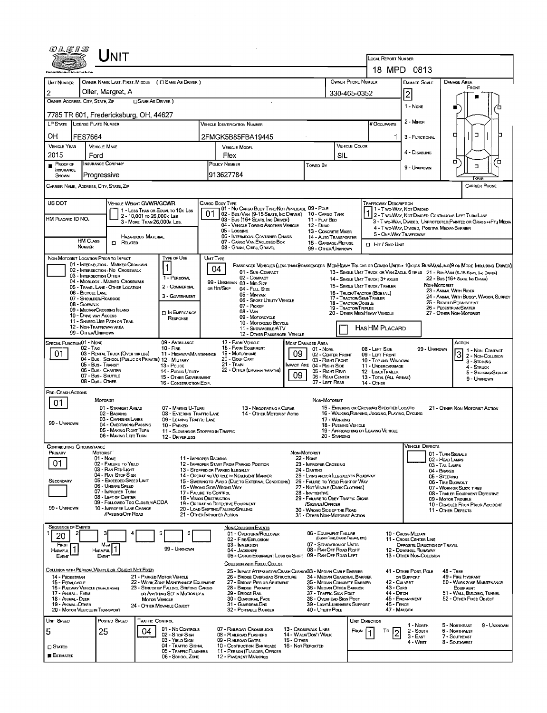|                                                                               | UNIT                                                                                            |                                                                                |                                                                                                                                                   |                                                                                                                                              |                                                                               |                                                                       |                                                                                                                                   |                                                        |                                                                                                                              |  |  |
|-------------------------------------------------------------------------------|-------------------------------------------------------------------------------------------------|--------------------------------------------------------------------------------|---------------------------------------------------------------------------------------------------------------------------------------------------|----------------------------------------------------------------------------------------------------------------------------------------------|-------------------------------------------------------------------------------|-----------------------------------------------------------------------|-----------------------------------------------------------------------------------------------------------------------------------|--------------------------------------------------------|------------------------------------------------------------------------------------------------------------------------------|--|--|
|                                                                               |                                                                                                 |                                                                                |                                                                                                                                                   |                                                                                                                                              | <b>LOCAL REPORT NUMBER</b>                                                    | 18 MPD 0813                                                           |                                                                                                                                   |                                                        |                                                                                                                              |  |  |
| <b>UNIT NUMBER</b>                                                            | OWNER NAME: LAST, FIRST, MIDDLE ( C SAME AS DRIVER )                                            |                                                                                |                                                                                                                                                   |                                                                                                                                              | OWNER PHONE NUMBER                                                            |                                                                       | <b>DAMAGE SCALE</b>                                                                                                               | DAMAGE AREA                                            |                                                                                                                              |  |  |
| 2                                                                             | Oller, Margret, A                                                                               |                                                                                |                                                                                                                                                   |                                                                                                                                              |                                                                               | 330-465-0352                                                          |                                                                                                                                   | $\vert$ 2                                              | FRONT                                                                                                                        |  |  |
| OWNER ADDRESS: CITY, STATE, ZIP                                               |                                                                                                 | <b>CISAME AS DRIVER</b> )                                                      |                                                                                                                                                   |                                                                                                                                              |                                                                               |                                                                       |                                                                                                                                   | 1 - None                                               |                                                                                                                              |  |  |
|                                                                               | 7785 TR 601, Fredericksburg, OH, 44627                                                          |                                                                                |                                                                                                                                                   |                                                                                                                                              |                                                                               |                                                                       |                                                                                                                                   |                                                        |                                                                                                                              |  |  |
| LP STATE                                                                      | <b>LICENSE PLATE NUMBER</b>                                                                     |                                                                                | VEHICLE IDENTIFICATION NUMBER                                                                                                                     |                                                                                                                                              |                                                                               |                                                                       | # Occupants                                                                                                                       | 2 - MINOR                                              |                                                                                                                              |  |  |
| ΟН<br><b>FES7664</b>                                                          |                                                                                                 |                                                                                | 2FMGK5B85FBA19445                                                                                                                                 |                                                                                                                                              |                                                                               |                                                                       | 1                                                                                                                                 | 3 - FUNCTIONAL                                         | п                                                                                                                            |  |  |
| <b>VEHICLE YEAR</b><br>2015                                                   | <b>VEHICLE MAKE</b><br>Ford                                                                     |                                                                                | <b>VEHICLE MODEL</b><br>Flex                                                                                                                      |                                                                                                                                              |                                                                               | <b>VEHICLE COLOR</b><br>SIL                                           |                                                                                                                                   | 4 - DISABLING                                          |                                                                                                                              |  |  |
| PROOF OF                                                                      | <b>INSURANCE COMPANY</b>                                                                        |                                                                                | POLICY NUMBER<br>Towen By                                                                                                                         |                                                                                                                                              |                                                                               |                                                                       |                                                                                                                                   | 9 - UNKNOWN                                            | о<br>7о                                                                                                                      |  |  |
| INSURANCE<br>SHOWN                                                            | Progressive                                                                                     |                                                                                | 913627784                                                                                                                                         |                                                                                                                                              |                                                                               |                                                                       |                                                                                                                                   |                                                        | <b>FCEAR</b>                                                                                                                 |  |  |
| CARRIER NAME, ADDRESS, CITY, STATE, ZIP                                       |                                                                                                 |                                                                                |                                                                                                                                                   |                                                                                                                                              |                                                                               |                                                                       |                                                                                                                                   |                                                        | <b>CARRIER PHONE</b>                                                                                                         |  |  |
| US DOT                                                                        | VEHICLE WEIGHT GVWR/GCWR                                                                        |                                                                                | CARGO BODY TYPE<br>01 - No CARGO BODY TYPE/NOT APPLICABL 09 - POLE                                                                                |                                                                                                                                              |                                                                               |                                                                       | <b>TRAFFICWAY DESCRIPTION</b>                                                                                                     |                                                        |                                                                                                                              |  |  |
| HM PLACARD ID NO.                                                             | 2 - 10,001 то 26,000к Las                                                                       | 1 - LESS THAN OR EQUAL TO 10K LBS                                              | 01<br>02 - Bus/Van (9-15 Seats, Inc Driver) 10 - Cargo Tank<br>03 - Bus (16+ Seats, Inc Driver)                                                   |                                                                                                                                              | 11 - FLAT BED                                                                 |                                                                       |                                                                                                                                   | 1 - T WO-WAY, NOT DIVIDED                              | 1 2 - T WO-WAY, NOT DIVIDED, CONTINUOUS LEFT TURN LANE                                                                       |  |  |
|                                                                               | 3 - MORE THAN 26,000K LBS.                                                                      |                                                                                | 04 - VEHICLE TOWING ANOTHER VEHICLE<br>05 - Logging                                                                                               |                                                                                                                                              | 12 - Dump<br>13 - CONCRETE MIXER                                              |                                                                       |                                                                                                                                   |                                                        | 3 - T WO-WAY, DIVIDED, UNPROTECTED (PAINTED OR GRASS >4FT.) MEDIA<br>4 - T WO-WAY, DIMOED. POSITIVE MEDIAN BARRIER           |  |  |
| <b>HM CLASS</b>                                                               | <b>HAZARDOUS MATERIAL</b><br><b>CI RELATED</b>                                                  |                                                                                | 06 - INTERMDOAL CONTAINER CHASIS<br>07 - CARGO VAN/ENGLOSEO BOX                                                                                   |                                                                                                                                              | 14 - AUTO TRANSPORTER<br>15 - GARBAGE / REFUSE                                |                                                                       | 5 - ONE-WAY TRAFFICWAY<br><b>D</b> HIT / SKIP UNIT                                                                                |                                                        |                                                                                                                              |  |  |
| NUMBER                                                                        |                                                                                                 |                                                                                | 08 - GRAN, CHIPS, GRAVEL                                                                                                                          |                                                                                                                                              | 99 - OTHER/UNKNOWN                                                            |                                                                       |                                                                                                                                   |                                                        |                                                                                                                              |  |  |
| NON-MOTORIST LOCATION PRIOR TO IMPACT                                         | 01 - INTERSECTION - MARKEO CROSSWAL                                                             | TYPE OF USE                                                                    | <b>UNIT TYPE</b><br>04                                                                                                                            |                                                                                                                                              |                                                                               |                                                                       |                                                                                                                                   |                                                        | PASSENGER VEHICLES (LESS THAN OPASSENGERS MEDIMEANY TRUCKS OR COMBO UNITS > 10K LBS BUS/VAN/LIMO(O OR MORE INCLUDING DRIVER) |  |  |
|                                                                               | 02 - INTERSECTION - NO CROSSWALK<br>03 - INTERSECTION OTHER<br>04 - MIOBLOCK - MARKED CROSSWALK | 1 - PERSONAL                                                                   | 01 - Sub-COMPACT<br>02 - COMPACT                                                                                                                  |                                                                                                                                              |                                                                               |                                                                       | 14 - SINGLE UNT TRUCK : 3+ AXLES                                                                                                  |                                                        | 13 - SINGLE UNIT TRUCK OR VAN 2AXLE, 6 TIRES 21 - BUS/VAN (9-15 SEATS, INC DRIVER)<br>22 - Bus (16+ Seats, Inc Danea)        |  |  |
| 06 - BICYCLE LANE                                                             | 05 - TRAVEL LANE - OTHER LOCATION                                                               | 2 - COMMERCIAL                                                                 | 99 - UNKNOWN 03 - MID SIZE<br>OR HIT/SKIP<br>04 - FutL Size                                                                                       |                                                                                                                                              |                                                                               |                                                                       | 15 - SINGLE UNIT TRUCK / TRAILER<br>16 - TRUCK/TRACTOR (BOBTAIL)                                                                  |                                                        | NON-MOTORIST<br>23 - Animal With Rider                                                                                       |  |  |
| 08 - SIOEWALK                                                                 | 07 - SHOULDER/ROADSIDE                                                                          | 3 - GOVERNMENT                                                                 | 05 MINIVAN<br>06 - SPORT UTILITY VEHICLE<br>07 - PICKUP                                                                                           |                                                                                                                                              |                                                                               | 17 - TRACTOR/SEMI-TRAILER<br><b>18 - Tractor/Double</b>               |                                                                                                                                   |                                                        | 24 - ANIMAL WITH BUGGY, WAGON, SURREY<br>25 - BICYCLE/PEOACYCLIST                                                            |  |  |
| 10 - DRIVE WAY ACCESS                                                         | 09 - MEDIAN CROSSING ISLAND                                                                     | <b>TI IN EMERGENCY</b><br><b>RESPONSE</b>                                      | 08 - VAN<br>09 - MOTORCYCLE                                                                                                                       |                                                                                                                                              | 19 - TRACTOR/TRIPLES                                                          | 20 - OTHER MEDIHEAVY VEHICLE                                          |                                                                                                                                   | 26 - PEOESTRIAN/SKATER<br>27 - OTHER NON-MOTORIST      |                                                                                                                              |  |  |
|                                                                               | 11 - SHAREO-USE PATH OR TRAIL<br>12 - NON-TRAFFICWAY AREA                                       |                                                                                | 10 - MOTORIZEO BICYCLE<br>11 - SNOWMOBILE/ATV                                                                                                     |                                                                                                                                              | <b>HAS HM PLACARD</b>                                                         |                                                                       |                                                                                                                                   |                                                        |                                                                                                                              |  |  |
| 99 - OTHER/UNKNOWN<br>SPECIAL FUNCTION 01 - NONE                              |                                                                                                 | 09 - AMBULANCE                                                                 | 12 OTHER PASSENGER VEHICLE<br>17 - FARM VEHICLE                                                                                                   |                                                                                                                                              |                                                                               | Астюм                                                                 |                                                                                                                                   |                                                        |                                                                                                                              |  |  |
| $02 - T_A x1$<br>01                                                           | 03 - RENTAL TRUCK (OVER 10K LBS)                                                                | $10 -$ Fire<br>11 - HIGHWAY/MAINTENANCE                                        | 18 - FARM EQUIPMENT<br>19 - Мотовноме                                                                                                             | MOST DAMAGED AREA<br>01 - None<br>09<br>02 - CENTER FRONT                                                                                    |                                                                               |                                                                       |                                                                                                                                   | 99 - UNKNOWN                                           | 1 1 - Non-Contact<br>3 2 - NON-CONTACT                                                                                       |  |  |
|                                                                               | 04 - Bus - SCHOOL (PUBLIC OR PRIVATE) 12 - MILITARY<br>05 - Bus - Transit                       | 13 - Pouce                                                                     | 20 - Gour Cart<br>21 - TRAN                                                                                                                       | IMPACT ARE 04 - RIGHT SIDE                                                                                                                   | 03 - RIGHT FRONT                                                              |                                                                       | 09 - LEFT FRONT<br>10 - TOP AND WINDOWS<br>11 - UNDERCARRIAGE                                                                     |                                                        | 3 - STRIKING<br>4 - Struck                                                                                                   |  |  |
|                                                                               | 06 - Bus - Charter<br>07 - Bus - SHUTTLE                                                        | 14 - Pusuc Unury<br>15 - OTHER GOVERNMENT                                      | 22 - OTHER (EXPLAIN IN NARRATIVE)                                                                                                                 | 05 - Right Rear<br>06 - REAR CENTER                                                                                                          |                                                                               | 12 - LOAD/TRAILER<br>13 - TOTAL (ALL AREAS)                           | 5 - STRIKING/STRUCK<br>9 - UNKNOWN                                                                                                |                                                        |                                                                                                                              |  |  |
| Pre- Crash Actions                                                            | 08 - Bus - Other                                                                                | 16 - CONSTRUCTION EQP.                                                         |                                                                                                                                                   |                                                                                                                                              | 07 - LEFT REAR                                                                |                                                                       | 14 - OTHER                                                                                                                        |                                                        |                                                                                                                              |  |  |
| 01                                                                            | <b>MOTORIST</b>                                                                                 |                                                                                |                                                                                                                                                   |                                                                                                                                              | NON MOTORIST                                                                  |                                                                       |                                                                                                                                   |                                                        |                                                                                                                              |  |  |
|                                                                               | 01 - STRAIGHT AHEAD<br>02 - BACKING                                                             | 07 - MAKING U-TURN<br>08 - ENTERING TRAFFIC LANE                               | 13 - NEGOTIATING A CURVE<br>14 - OTHER MOTORIST ACTIO                                                                                             |                                                                                                                                              |                                                                               |                                                                       | 15 - ENTERING OR CROSSING SPECIFIED LOCATIO<br>21 - OTHER NON-MOTORIST ACTION<br>16 - WALKING, RUNNING, JOGGING, PLAYING, CYCLING |                                                        |                                                                                                                              |  |  |
| 99 - UNKNOWN                                                                  | 03 - CHANGING LANES<br>04 - Overtaking/Passing<br>05 - MAKING RIGHT TURN                        | 09 - LEAVING TRAFFIC LANE<br>10 - PARKED                                       |                                                                                                                                                   |                                                                                                                                              | 17 - WORKING                                                                  | 18 - Pushing Vehicle                                                  | 19 - APPROACHING OR LEAVING VEHICLE                                                                                               |                                                        |                                                                                                                              |  |  |
|                                                                               | 06 - MAKING LEFT TURN                                                                           | 11 - Slowing or Stoppeo in Traffic<br>12 - DRIVERLESS                          |                                                                                                                                                   |                                                                                                                                              | 20 - Standing                                                                 |                                                                       |                                                                                                                                   |                                                        |                                                                                                                              |  |  |
| Contributing Circumstance<br>PRIMARY                                          | MOTORIST                                                                                        |                                                                                |                                                                                                                                                   | NON-MOTORIST                                                                                                                                 |                                                                               |                                                                       |                                                                                                                                   | Vehicle Defects                                        | 01 - TURN SIGNALS                                                                                                            |  |  |
| 01                                                                            | 01 - None<br>02 - FAILURE TO YIELD                                                              |                                                                                | 11 - IMPROPER BACKING<br>12 - IMPROPER START FROM PARKEO POSITION                                                                                 | <b>22 - None</b>                                                                                                                             | 23 - IMPROPER CROSSING                                                        |                                                                       |                                                                                                                                   |                                                        | 02 - HEAD LAMPS<br>03 - TAIL LAMPS                                                                                           |  |  |
|                                                                               | 03 - RAN RED LIGHT<br>04 - RAN STOP SIGN                                                        |                                                                                | 13 - STOPPED OR PARKED ILLEGALLY<br>14 - OPERATING VEHICLE IN NEGLIGENT MANNER                                                                    | 24 - DARTING                                                                                                                                 |                                                                               | 25 - LYING AND/OR ILLEGALLY IN ROADWAY                                | 04 - BRAKES<br>05 - STEERING                                                                                                      |                                                        |                                                                                                                              |  |  |
| SECONDARY                                                                     | 05 - Exceeded Speed LIMIT<br>06 - UNSAFE SPEED<br>07 - IMPROPER TURN                            |                                                                                | 15 - SWERINGTO AVOID (DUE TO EXTERNAL CONDITIONS)<br>16 - Wrong Side/Wrong Way                                                                    |                                                                                                                                              |                                                                               | 26 - FALURE TO YIELD RIGHT OF WAY<br>27 - NOT VISIBLE (DARK CLOTHING) |                                                                                                                                   | 06 - TIRE BLOWOUT<br>07 - WORN OR SLICK TIRES          |                                                                                                                              |  |  |
|                                                                               | 08 - LEFT OF CENTER<br>09 - FOLLOWEO TOO CLOSELY/ACDA                                           |                                                                                | 17 - FALURE TO CONTROL<br>18 - Vision OBSTRUCTION<br>19 - OPERATING DEFECTIVE EQUIPMENT                                                           | 28 - INATTENTIVE                                                                                                                             |                                                                               | 29 - FAILURE TO OBEY TRAFFIC SIGNS                                    |                                                                                                                                   | 08 - TRAILER EQUIPMENT DEFECTIVE<br>09 - MOTOR TROUBLE |                                                                                                                              |  |  |
| 99 - Unknown                                                                  | 10 - IMPROPER LANE CHANGE<br>/Passing/Off Road                                                  |                                                                                | 20 - LOAD SHIFTING/FALLING/SPILLING<br>21 - OTHER IMPROPER ACTION                                                                                 | /SIGNALS/OFFICER<br>10 - DISABLED FROM PRIOR ACCIDENT<br>30 - WRONG SIDE OF THE ROAD<br>11 - OTHER DEFECTS<br>31 - OTHER NON-MOTORIST ACTION |                                                                               |                                                                       |                                                                                                                                   |                                                        |                                                                                                                              |  |  |
| <b>SEQUENCE OF EVENTS</b>                                                     |                                                                                                 |                                                                                | <b>NON-COLLISION EVENTS</b>                                                                                                                       |                                                                                                                                              |                                                                               |                                                                       |                                                                                                                                   |                                                        |                                                                                                                              |  |  |
| 2<br>20                                                                       |                                                                                                 | 5<br>6                                                                         | 01 - OVERTURN/ROLLOVER<br>02 - FIRE/EXPLOSION                                                                                                     |                                                                                                                                              | 06 - EQUIPMENT FAILURE                                                        | (BLOWN TIRE, BRAKE FAILURE, ETC)                                      |                                                                                                                                   | 10 - Cross Median<br>11 - Cross CENTER LINE            |                                                                                                                              |  |  |
| <b>FIRST</b><br><b>HARMFUL</b>                                                | Most<br>1<br>HARMFUL                                                                            | 99 - UNKNOWN                                                                   | 03 - IMMERSION<br>04 - Jackknife<br>05 - CARGO/EQUIPMENT LOSS OR SHIFT                                                                            |                                                                                                                                              | 07 - SEPARATION OF UNITS<br>08 - RAN OFF ROAD RIGHT<br>09 - RAN OFF ROAD LEFT |                                                                       |                                                                                                                                   | OPPOSITE DIRECTION OF TRAVEL<br>12 - DOWNHILL RUNAWAY  |                                                                                                                              |  |  |
| EVENT                                                                         | Event                                                                                           |                                                                                | COLLISION WITH FIXEO, OBJECT                                                                                                                      |                                                                                                                                              |                                                                               |                                                                       |                                                                                                                                   | 13 - OTHER NON-COLLISION                               |                                                                                                                              |  |  |
| 14 - PEDESTRIAN                                                               | COLLISION WITH PERSON, VEHICLE OR OBJECT NOT FIXED                                              | 21 - PARKED MOTOR VEHICLE                                                      | 25 - IMPACT ATTENUATOR/CRASH CUSHION33 - MEDIAN CABLE BARRIER<br>26 - BRIDGE OVERHEAD STRUCTURE                                                   |                                                                                                                                              |                                                                               | 34 - MEDIAN GUARDRAIL BARRIER                                         |                                                                                                                                   | 41 - OTHER POST, POLE<br>OR SUPPORT                    | 48 - TREE<br>49 - FIRE HYDRANT                                                                                               |  |  |
| 15 - PEDALCYCLE<br>16 - RAILWAY VEHICLE (TRAIN, ENGINE)<br>17 - ANIMAL - FARM |                                                                                                 | 22 - WORK ZONE MAINTENANCE EQUIPMENT<br>23 - STRUCK BY FALLING, SHIFTING CARGO | 27 - BRIDGE PIER OR ABUTMENT<br>28 - Bridge Parapet                                                                                               |                                                                                                                                              |                                                                               | 35 - Meolan Concrete Barrier<br>36 - MEDIAN OTHER BARRIER             | 42 - CULVERT<br>43 - CURB<br>44 - Drrch                                                                                           |                                                        | 50 - WORK ZONE MAINTENANCE<br>Еоцірмент<br>51 - WALL BUILDING, TUNNEL                                                        |  |  |
| 18 - Animal - Deer<br>19 - Animal -Other                                      |                                                                                                 | OR ANYTHING SET IN MOTION BY A<br><b>MOTOR VEHICLE</b>                         | 29 - Brioge RAL<br>37 - TRAFFIC SIGN POST<br>30 - GUARORAIL FACE<br>38 - OVERHEAD SIGN POST<br>31 - Guardral End<br>39 - LIGHT/LUMINARIES SUPPORT |                                                                                                                                              |                                                                               |                                                                       | 46 - FENCE                                                                                                                        | 45 - EMBANKMENT                                        | 52 - OTHER FIXED OBJECT                                                                                                      |  |  |
| 20 - MOTOR VEHICLE IN TRANSPORT                                               |                                                                                                 | 24 - OTHER MOVABLE OBJECT                                                      | 32 - PORTABLE BARRIER                                                                                                                             |                                                                                                                                              | 40 - UTILITY POLE                                                             |                                                                       | 47 - MAILBOX                                                                                                                      |                                                        |                                                                                                                              |  |  |
| UNIT SPEED                                                                    | Postep Speeo                                                                                    | <b>TRAFFIC CONTROL</b><br>01 - No CONTROLS                                     | 07 - RAILROAD CROSSBUCKS                                                                                                                          | 13 - Crosswalk Lines                                                                                                                         |                                                                               |                                                                       | <b>UNT DIRECTION</b>                                                                                                              | 1 - North                                              | 5 - Northeast<br>9 - Unknown                                                                                                 |  |  |
| 5                                                                             | 25<br>04                                                                                        | 02 - S TOP SIGN<br>03 - YIELD SIGN                                             | 08 - RAILROAD FLASHERS<br>09 - RALROAD GATES                                                                                                      | 14 - WALK/DON'T WALK<br>15 - О тнек                                                                                                          |                                                                               | FROM                                                                  | То                                                                                                                                | 2 - South<br>$3 -$ East<br>4 - West                    | 6 - NORTHWEST<br>7 - SOUTHEAST<br>8 - SOUTHWEST                                                                              |  |  |
| $\Box$ Stateo                                                                 |                                                                                                 | 04 - TRAFFIC SIGNAL<br>05 - TRAFFIC FLASHERS                                   | 10 - Costruction Barricade<br>11 - PERSON (FLAGGER, OFFICER                                                                                       | 16 - Not Reported                                                                                                                            |                                                                               |                                                                       |                                                                                                                                   |                                                        |                                                                                                                              |  |  |
| ESTIMATED                                                                     |                                                                                                 | 06 - SCHOOL ZONE                                                               | 12 - PAVEMENT MARKINGS                                                                                                                            |                                                                                                                                              |                                                                               |                                                                       |                                                                                                                                   |                                                        |                                                                                                                              |  |  |

 $\mathcal{L}^{\text{max}}_{\text{max}}$